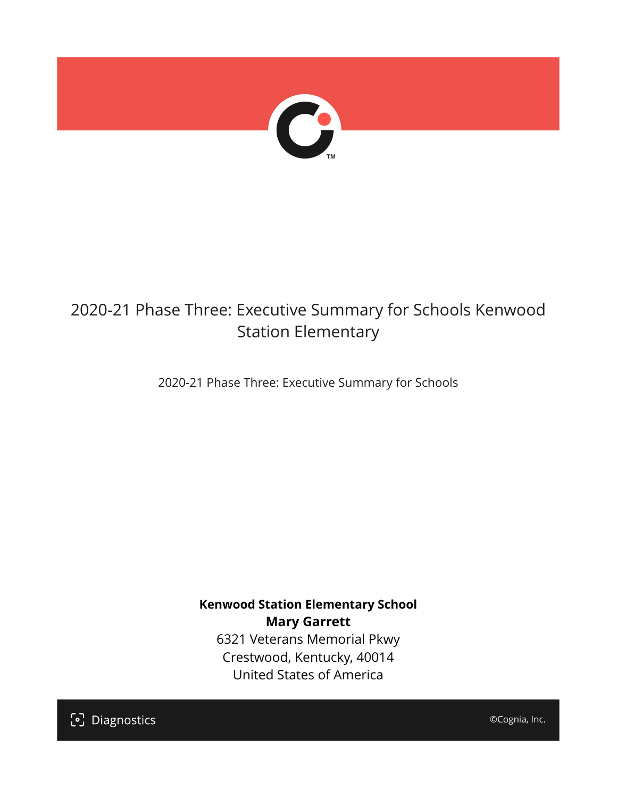

## 2020-21 Phase Three: Executive Summary for Schools Kenwood Station Elementary

2020-21 Phase Three: Executive Summary for Schools

**Kenwood Station Elementary School Mary Garrett** 6321 Veterans Memorial Pkwy Crestwood, Kentucky, 40014 United States of America

[၁] Diagnostics

©Cognia, Inc.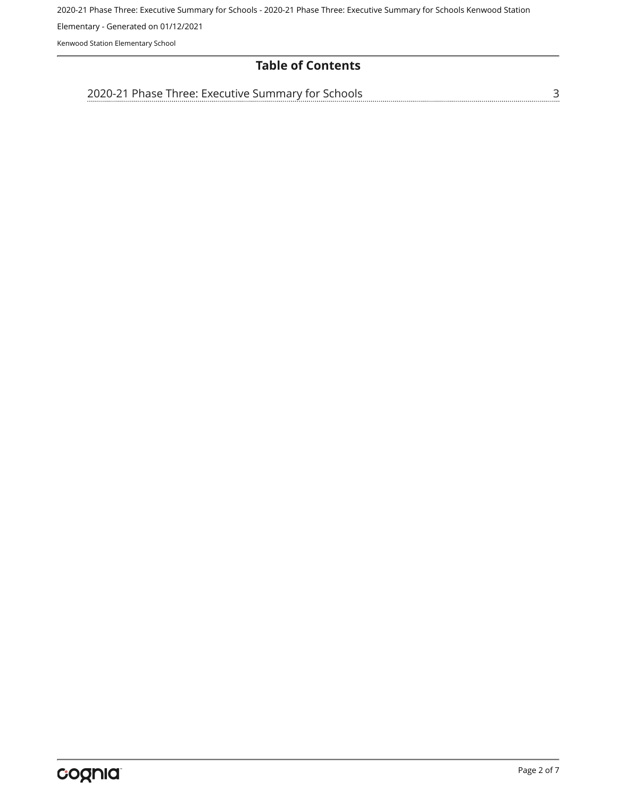Elementary - Generated on 01/12/2021

Kenwood Station Elementary School

## **Table of Contents**

[2020-21 Phase Three: Executive Summary for Schools](#page-2-0)

[3](#page-2-0)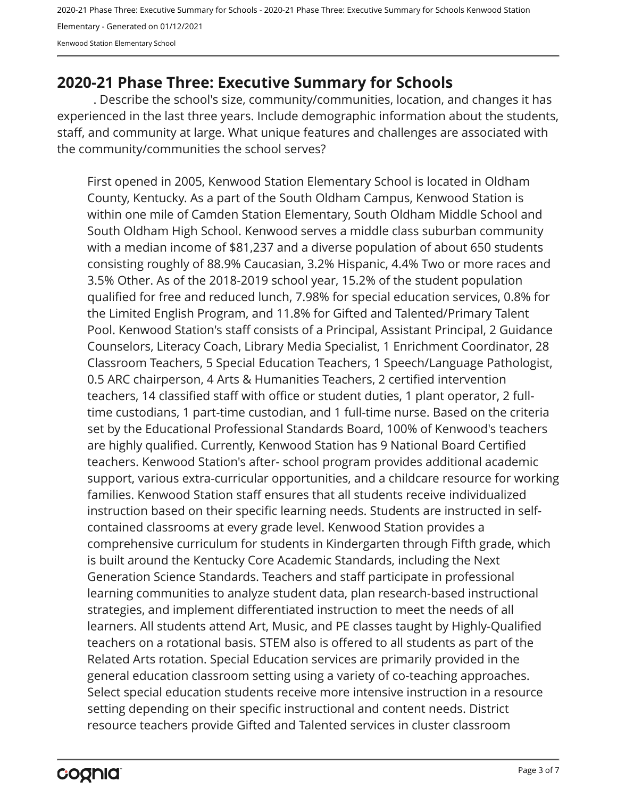2020-21 Phase Three: Executive Summary for Schools - 2020-21 Phase Three: Executive Summary for Schools Kenwood Station Elementary - Generated on 01/12/2021 Kenwood Station Elementary School

## <span id="page-2-0"></span>**2020-21 Phase Three: Executive Summary for Schools**

. Describe the school's size, community/communities, location, and changes it has experienced in the last three years. Include demographic information about the students, staff, and community at large. What unique features and challenges are associated with the community/communities the school serves?

First opened in 2005, Kenwood Station Elementary School is located in Oldham County, Kentucky. As a part of the South Oldham Campus, Kenwood Station is within one mile of Camden Station Elementary, South Oldham Middle School and South Oldham High School. Kenwood serves a middle class suburban community with a median income of \$81,237 and a diverse population of about 650 students consisting roughly of 88.9% Caucasian, 3.2% Hispanic, 4.4% Two or more races and 3.5% Other. As of the 2018-2019 school year, 15.2% of the student population qualified for free and reduced lunch, 7.98% for special education services, 0.8% for the Limited English Program, and 11.8% for Gifted and Talented/Primary Talent Pool. Kenwood Station's staff consists of a Principal, Assistant Principal, 2 Guidance Counselors, Literacy Coach, Library Media Specialist, 1 Enrichment Coordinator, 28 Classroom Teachers, 5 Special Education Teachers, 1 Speech/Language Pathologist, 0.5 ARC chairperson, 4 Arts & Humanities Teachers, 2 certified intervention teachers, 14 classified staff with office or student duties, 1 plant operator, 2 fulltime custodians, 1 part-time custodian, and 1 full-time nurse. Based on the criteria set by the Educational Professional Standards Board, 100% of Kenwood's teachers are highly qualified. Currently, Kenwood Station has 9 National Board Certified teachers. Kenwood Station's after- school program provides additional academic support, various extra-curricular opportunities, and a childcare resource for working families. Kenwood Station staff ensures that all students receive individualized instruction based on their specific learning needs. Students are instructed in selfcontained classrooms at every grade level. Kenwood Station provides a comprehensive curriculum for students in Kindergarten through Fifth grade, which is built around the Kentucky Core Academic Standards, including the Next Generation Science Standards. Teachers and staff participate in professional learning communities to analyze student data, plan research-based instructional strategies, and implement differentiated instruction to meet the needs of all learners. All students attend Art, Music, and PE classes taught by Highly-Qualified teachers on a rotational basis. STEM also is offered to all students as part of the Related Arts rotation. Special Education services are primarily provided in the general education classroom setting using a variety of co-teaching approaches. Select special education students receive more intensive instruction in a resource setting depending on their specific instructional and content needs. District resource teachers provide Gifted and Talented services in cluster classroom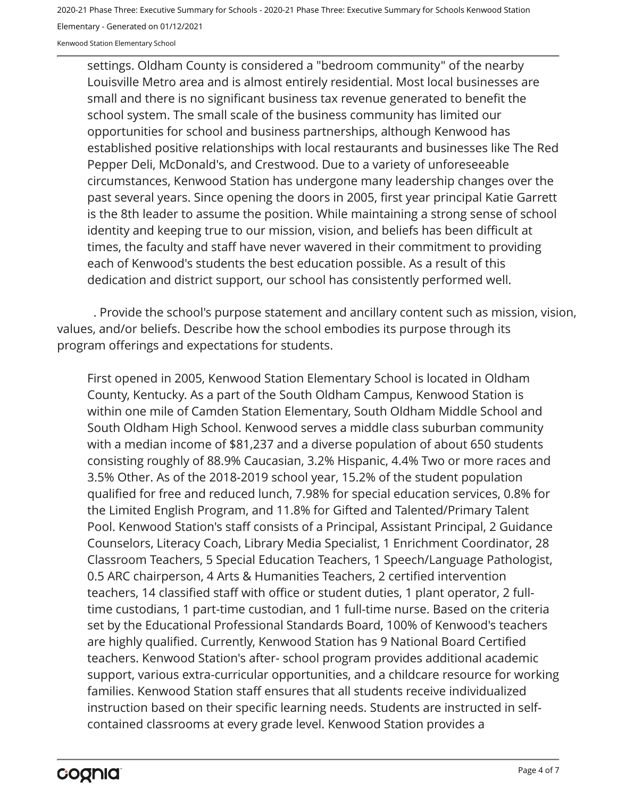Elementary - Generated on 01/12/2021

Kenwood Station Elementary School

settings. Oldham County is considered a "bedroom community" of the nearby Louisville Metro area and is almost entirely residential. Most local businesses are small and there is no significant business tax revenue generated to benefit the school system. The small scale of the business community has limited our opportunities for school and business partnerships, although Kenwood has established positive relationships with local restaurants and businesses like The Red Pepper Deli, McDonald's, and Crestwood. Due to a variety of unforeseeable circumstances, Kenwood Station has undergone many leadership changes over the past several years. Since opening the doors in 2005, first year principal Katie Garrett is the 8th leader to assume the position. While maintaining a strong sense of school identity and keeping true to our mission, vision, and beliefs has been difficult at times, the faculty and staff have never wavered in their commitment to providing each of Kenwood's students the best education possible. As a result of this dedication and district support, our school has consistently performed well.

. Provide the school's purpose statement and ancillary content such as mission, vision, values, and/or beliefs. Describe how the school embodies its purpose through its program offerings and expectations for students.

First opened in 2005, Kenwood Station Elementary School is located in Oldham County, Kentucky. As a part of the South Oldham Campus, Kenwood Station is within one mile of Camden Station Elementary, South Oldham Middle School and South Oldham High School. Kenwood serves a middle class suburban community with a median income of \$81,237 and a diverse population of about 650 students consisting roughly of 88.9% Caucasian, 3.2% Hispanic, 4.4% Two or more races and 3.5% Other. As of the 2018-2019 school year, 15.2% of the student population qualified for free and reduced lunch, 7.98% for special education services, 0.8% for the Limited English Program, and 11.8% for Gifted and Talented/Primary Talent Pool. Kenwood Station's staff consists of a Principal, Assistant Principal, 2 Guidance Counselors, Literacy Coach, Library Media Specialist, 1 Enrichment Coordinator, 28 Classroom Teachers, 5 Special Education Teachers, 1 Speech/Language Pathologist, 0.5 ARC chairperson, 4 Arts & Humanities Teachers, 2 certified intervention teachers, 14 classified staff with office or student duties, 1 plant operator, 2 fulltime custodians, 1 part-time custodian, and 1 full-time nurse. Based on the criteria set by the Educational Professional Standards Board, 100% of Kenwood's teachers are highly qualified. Currently, Kenwood Station has 9 National Board Certified teachers. Kenwood Station's after- school program provides additional academic support, various extra-curricular opportunities, and a childcare resource for working families. Kenwood Station staff ensures that all students receive individualized instruction based on their specific learning needs. Students are instructed in selfcontained classrooms at every grade level. Kenwood Station provides a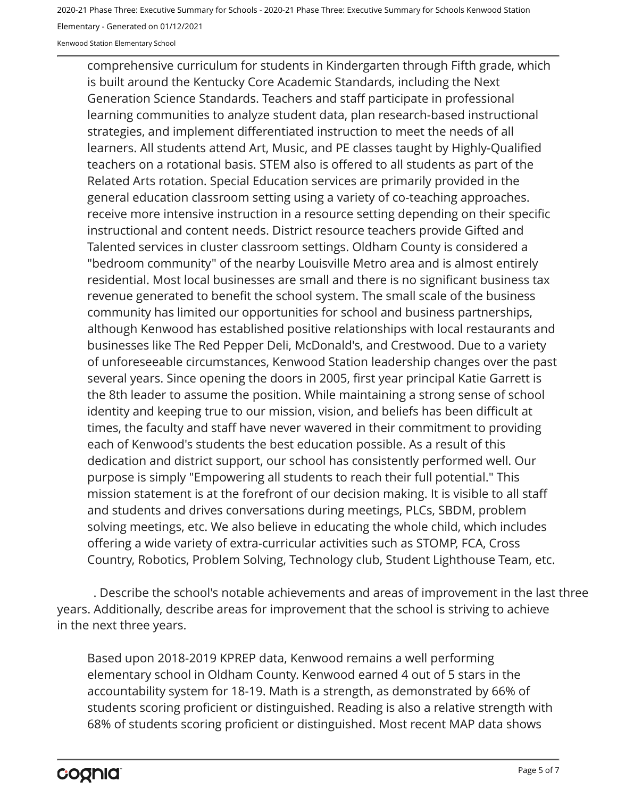Elementary - Generated on 01/12/2021

Kenwood Station Elementary School

comprehensive curriculum for students in Kindergarten through Fifth grade, which is built around the Kentucky Core Academic Standards, including the Next Generation Science Standards. Teachers and staff participate in professional learning communities to analyze student data, plan research-based instructional strategies, and implement differentiated instruction to meet the needs of all learners. All students attend Art, Music, and PE classes taught by Highly-Qualified teachers on a rotational basis. STEM also is offered to all students as part of the Related Arts rotation. Special Education services are primarily provided in the general education classroom setting using a variety of co-teaching approaches. receive more intensive instruction in a resource setting depending on their specific instructional and content needs. District resource teachers provide Gifted and Talented services in cluster classroom settings. Oldham County is considered a "bedroom community" of the nearby Louisville Metro area and is almost entirely residential. Most local businesses are small and there is no significant business tax revenue generated to benefit the school system. The small scale of the business community has limited our opportunities for school and business partnerships, although Kenwood has established positive relationships with local restaurants and businesses like The Red Pepper Deli, McDonald's, and Crestwood. Due to a variety of unforeseeable circumstances, Kenwood Station leadership changes over the past several years. Since opening the doors in 2005, first year principal Katie Garrett is the 8th leader to assume the position. While maintaining a strong sense of school identity and keeping true to our mission, vision, and beliefs has been difficult at times, the faculty and staff have never wavered in their commitment to providing each of Kenwood's students the best education possible. As a result of this dedication and district support, our school has consistently performed well. Our purpose is simply "Empowering all students to reach their full potential." This mission statement is at the forefront of our decision making. It is visible to all staff and students and drives conversations during meetings, PLCs, SBDM, problem solving meetings, etc. We also believe in educating the whole child, which includes offering a wide variety of extra-curricular activities such as STOMP, FCA, Cross Country, Robotics, Problem Solving, Technology club, Student Lighthouse Team, etc.

. Describe the school's notable achievements and areas of improvement in the last three years. Additionally, describe areas for improvement that the school is striving to achieve in the next three years.

Based upon 2018-2019 KPREP data, Kenwood remains a well performing elementary school in Oldham County. Kenwood earned 4 out of 5 stars in the accountability system for 18-19. Math is a strength, as demonstrated by 66% of students scoring proficient or distinguished. Reading is also a relative strength with 68% of students scoring proficient or distinguished. Most recent MAP data shows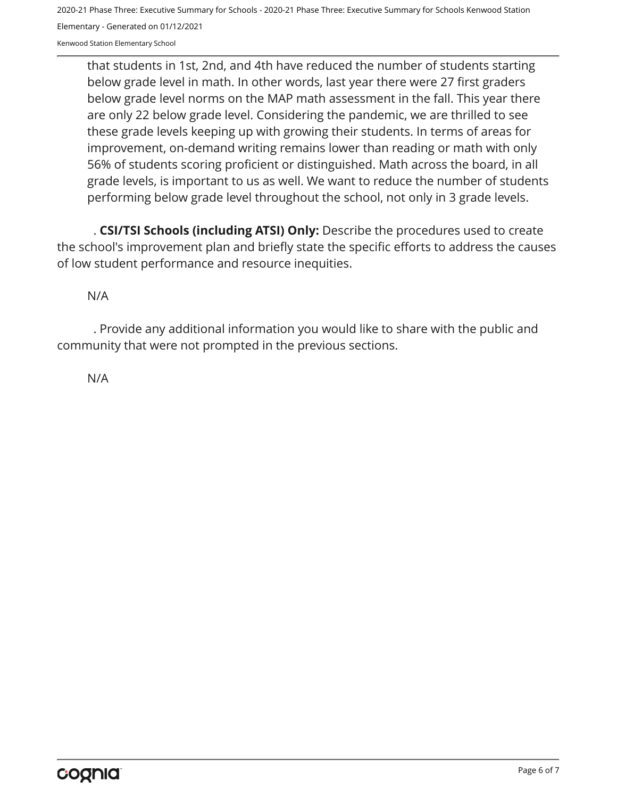2020-21 Phase Three: Executive Summary for Schools - 2020-21 Phase Three: Executive Summary for Schools Kenwood Station Elementary - Generated on 01/12/2021

Kenwood Station Elementary School

that students in 1st, 2nd, and 4th have reduced the number of students starting below grade level in math. In other words, last year there were 27 first graders below grade level norms on the MAP math assessment in the fall. This year there are only 22 below grade level. Considering the pandemic, we are thrilled to see these grade levels keeping up with growing their students. In terms of areas for improvement, on-demand writing remains lower than reading or math with only 56% of students scoring proficient or distinguished. Math across the board, in all grade levels, is important to us as well. We want to reduce the number of students performing below grade level throughout the school, not only in 3 grade levels.

. **CSI/TSI Schools (including ATSI) Only:** Describe the procedures used to create the school's improvement plan and briefly state the specific efforts to address the causes of low student performance and resource inequities.

N/A

. Provide any additional information you would like to share with the public and community that were not prompted in the previous sections.

N/A